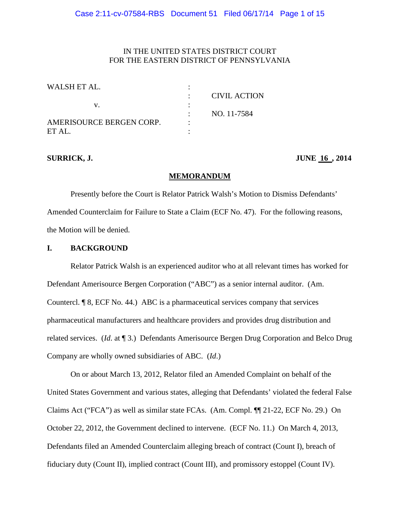# IN THE UNITED STATES DISTRICT COURT FOR THE EASTERN DISTRICT OF PENNSYLVANIA

| WALSH ET AL.             |                     |
|--------------------------|---------------------|
|                          | <b>CIVIL ACTION</b> |
| V.                       |                     |
|                          | NO. 11-7584         |
| AMERISOURCE BERGEN CORP. |                     |
| ET AL.                   |                     |

**SURRICK, J. JUNE** 16, 2014

#### **MEMORANDUM**

Presently before the Court is Relator Patrick Walsh's Motion to Dismiss Defendants' Amended Counterclaim for Failure to State a Claim (ECF No. 47). For the following reasons, the Motion will be denied.

# **I. BACKGROUND**

Relator Patrick Walsh is an experienced auditor who at all relevant times has worked for Defendant Amerisource Bergen Corporation ("ABC") as a senior internal auditor. (Am. Countercl. ¶ 8, ECF No. 44.) ABC is a pharmaceutical services company that services pharmaceutical manufacturers and healthcare providers and provides drug distribution and related services. (*Id*. at ¶ 3.) Defendants Amerisource Bergen Drug Corporation and Belco Drug Company are wholly owned subsidiaries of ABC. (*Id*.)

On or about March 13, 2012, Relator filed an Amended Complaint on behalf of the United States Government and various states, alleging that Defendants' violated the federal False Claims Act ("FCA") as well as similar state FCAs. (Am. Compl. ¶¶ 21-22, ECF No. 29.) On October 22, 2012, the Government declined to intervene. (ECF No. 11.) On March 4, 2013, Defendants filed an Amended Counterclaim alleging breach of contract (Count I), breach of fiduciary duty (Count II), implied contract (Count III), and promissory estoppel (Count IV).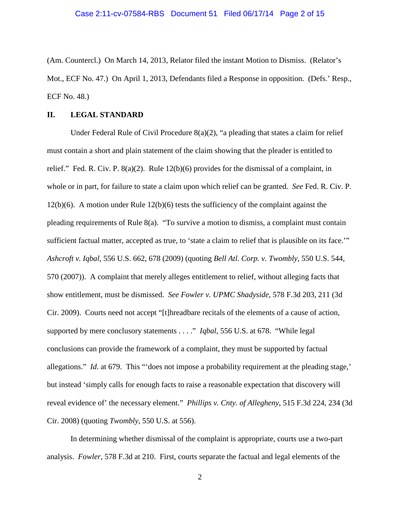(Am. Countercl.) On March 14, 2013, Relator filed the instant Motion to Dismiss. (Relator's Mot., ECF No. 47.) On April 1, 2013, Defendants filed a Response in opposition. (Defs.' Resp., ECF No. 48.)

# **II. LEGAL STANDARD**

Under Federal Rule of Civil Procedure  $8(a)(2)$ , "a pleading that states a claim for relief must contain a short and plain statement of the claim showing that the pleader is entitled to relief." Fed. R. Civ. P. 8(a)(2). Rule 12(b)(6) provides for the dismissal of a complaint, in whole or in part, for failure to state a claim upon which relief can be granted. *See* Fed. R. Civ. P. 12(b)(6). A motion under Rule 12(b)(6) tests the sufficiency of the complaint against the pleading requirements of Rule 8(a). "To survive a motion to dismiss, a complaint must contain sufficient factual matter, accepted as true, to 'state a claim to relief that is plausible on its face.'" *Ashcroft v. Iqbal*, 556 U.S. 662, 678 (2009) (quoting *Bell Atl. Corp. v. Twombly*, 550 U.S. 544, 570 (2007)). A complaint that merely alleges entitlement to relief, without alleging facts that show entitlement, must be dismissed. *See Fowler v. UPMC Shadyside*, 578 F.3d 203, 211 (3d Cir. 2009). Courts need not accept "[t]hreadbare recitals of the elements of a cause of action, supported by mere conclusory statements . . . ." *Iqbal*, 556 U.S. at 678. "While legal conclusions can provide the framework of a complaint, they must be supported by factual allegations." *Id*. at 679. This "'does not impose a probability requirement at the pleading stage,' but instead 'simply calls for enough facts to raise a reasonable expectation that discovery will reveal evidence of' the necessary element." *Phillips v. Cnty. of Allegheny*, 515 F.3d 224, 234 (3d Cir. 2008) (quoting *Twombly*, 550 U.S. at 556).

In determining whether dismissal of the complaint is appropriate, courts use a two-part analysis. *Fowler*, 578 F.3d at 210. First, courts separate the factual and legal elements of the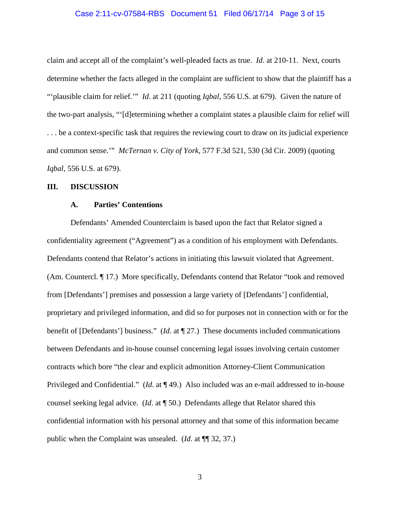#### Case 2:11-cv-07584-RBS Document 51 Filed 06/17/14 Page 3 of 15

claim and accept all of the complaint's well-pleaded facts as true. *Id*. at 210-11. Next, courts determine whether the facts alleged in the complaint are sufficient to show that the plaintiff has a "'plausible claim for relief.'" *Id*. at 211 (quoting *Iqbal*, 556 U.S. at 679). Given the nature of the two-part analysis, "'[d]etermining whether a complaint states a plausible claim for relief will . . . be a context-specific task that requires the reviewing court to draw on its judicial experience and common sense.'" *McTernan v. City of York*, 577 F.3d 521, 530 (3d Cir. 2009) (quoting *Iqbal*, 556 U.S. at 679).

### **III. DISCUSSION**

# **A. Parties' Contentions**

Defendants' Amended Counterclaim is based upon the fact that Relator signed a confidentiality agreement ("Agreement") as a condition of his employment with Defendants. Defendants contend that Relator's actions in initiating this lawsuit violated that Agreement. (Am. Countercl. ¶ 17.) More specifically, Defendants contend that Relator "took and removed from [Defendants'] premises and possession a large variety of [Defendants'] confidential, proprietary and privileged information, and did so for purposes not in connection with or for the benefit of [Defendants'] business." (*Id*. at ¶ 27.) These documents included communications between Defendants and in-house counsel concerning legal issues involving certain customer contracts which bore "the clear and explicit admonition Attorney-Client Communication Privileged and Confidential." (*Id*. at ¶ 49.) Also included was an e-mail addressed to in-house counsel seeking legal advice. (*Id*. at ¶ 50.) Defendants allege that Relator shared this confidential information with his personal attorney and that some of this information became public when the Complaint was unsealed. (*Id*. at ¶¶ 32, 37.)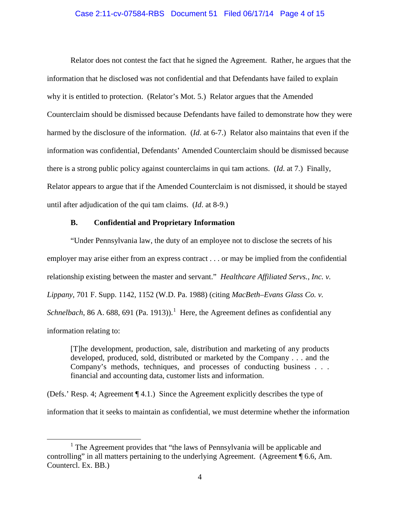#### Case 2:11-cv-07584-RBS Document 51 Filed 06/17/14 Page 4 of 15

Relator does not contest the fact that he signed the Agreement. Rather, he argues that the information that he disclosed was not confidential and that Defendants have failed to explain why it is entitled to protection. (Relator's Mot. 5.) Relator argues that the Amended Counterclaim should be dismissed because Defendants have failed to demonstrate how they were harmed by the disclosure of the information. (*Id*. at 6-7.) Relator also maintains that even if the information was confidential, Defendants' Amended Counterclaim should be dismissed because there is a strong public policy against counterclaims in qui tam actions. (*Id*. at 7.) Finally, Relator appears to argue that if the Amended Counterclaim is not dismissed, it should be stayed until after adjudication of the qui tam claims. (*Id*. at 8-9.)

#### **B. Confidential and Proprietary Information**

"Under Pennsylvania law, the duty of an employee not to disclose the secrets of his employer may arise either from an express contract . . . or may be implied from the confidential relationship existing between the master and servant." *Healthcare Affiliated Servs., Inc. v. Lippany*, 701 F. Supp. 1142, 1152 (W.D. Pa. 1988) (citing *MacBeth–Evans Glass Co. v. Schnelbach*, 86 A. 688, 691 (Pa. 1913)).<sup>1</sup> Here, the Agreement defines as confidential any information relating to:

[T]he development, production, sale, distribution and marketing of any products developed, produced, sold, distributed or marketed by the Company . . . and the Company's methods, techniques, and processes of conducting business . . . financial and accounting data, customer lists and information.

(Defs.' Resp. 4; Agreement ¶ 4.1.) Since the Agreement explicitly describes the type of information that it seeks to maintain as confidential, we must determine whether the information

<sup>&</sup>lt;sup>1</sup> The Agreement provides that "the laws of Pennsylvania will be applicable and controlling" in all matters pertaining to the underlying Agreement. (Agreement ¶ 6.6, Am. Countercl. Ex. BB.)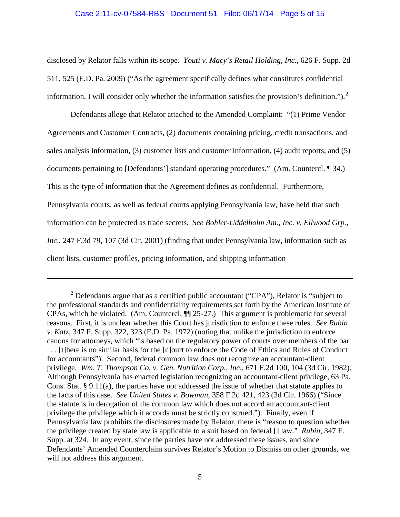# Case 2:11-cv-07584-RBS Document 51 Filed 06/17/14 Page 5 of 15

disclosed by Relator falls within its scope. *Youti v. Macy's Retail Holding, Inc*., 626 F. Supp. 2d 511, 525 (E.D. Pa. 2009) ("As the agreement specifically defines what constitutes confidential information, I will consider only whether the information satisfies the provision's definition.").<sup>2</sup>

Defendants allege that Relator attached to the Amended Complaint: "(1) Prime Vendor Agreements and Customer Contracts, (2) documents containing pricing, credit transactions, and sales analysis information, (3) customer lists and customer information, (4) audit reports, and (5) documents pertaining to [Defendants'] standard operating procedures." (Am. Countercl. ¶ 34.) This is the type of information that the Agreement defines as confidential. Furthermore, Pennsylvania courts, as well as federal courts applying Pennsylvania law, have held that such information can be protected as trade secrets. *See Bohler-Uddelholm Am., Inc. v. Ellwood Grp., Inc*., 247 F.3d 79, 107 (3d Cir. 2001) (finding that under Pennsylvania law, information such as client lists, customer profiles, pricing information, and shipping information

 $2$  Defendants argue that as a certified public accountant ("CPA"), Relator is "subject to the professional standards and confidentiality requirements set forth by the American Institute of CPAs, which he violated. (Am. Countercl.  $\P$  $25-27$ .) This argument is problematic for several reasons. First, it is unclear whether this Court has jurisdiction to enforce these rules. *See Rubin v. Katz*, 347 F. Supp. 322, 323 (E.D. Pa. 1972) (noting that unlike the jurisdiction to enforce canons for attorneys, which "is based on the regulatory power of courts over members of the bar . . . [t]here is no similar basis for the [c]ourt to enforce the Code of Ethics and Rules of Conduct for accountants"). Second, federal common law does not recognize an accountant-client privilege. *Wm. T. Thompson Co. v. Gen. Nutrition Corp., Inc*., 671 F.2d 100, 104 (3d Cir. 1982). Although Pennsylvania has enacted legislation recognizing an accountant-client privilege, 63 Pa. Cons. Stat. § 9.11(a), the parties have not addressed the issue of whether that statute applies to the facts of this case. *See United States v. Bowman*, 358 F.2d 421, 423 (3d Cir. 1966) ("Since the statute is in derogation of the common law which does not accord an accountant-client privilege the privilege which it accords must be strictly construed."). Finally, even if Pennsylvania law prohibits the disclosures made by Relator, there is "reason to question whether the privilege created by state law is applicable to a suit based on federal [] law." *Rubin*, 347 F. Supp. at 324. In any event, since the parties have not addressed these issues, and since Defendants' Amended Counterclaim survives Relator's Motion to Dismiss on other grounds, we will not address this argument.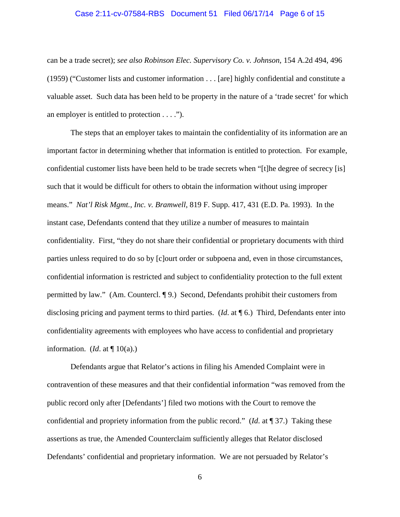#### Case 2:11-cv-07584-RBS Document 51 Filed 06/17/14 Page 6 of 15

can be a trade secret); *see also Robinson Elec. Supervisory Co. v. Johnson*, 154 A.2d 494, 496 (1959) ("Customer lists and customer information . . . [are] highly confidential and constitute a valuable asset. Such data has been held to be property in the nature of a 'trade secret' for which an employer is entitled to protection . . . .").

The steps that an employer takes to maintain the confidentiality of its information are an important factor in determining whether that information is entitled to protection. For example, confidential customer lists have been held to be trade secrets when "[t]he degree of secrecy [is] such that it would be difficult for others to obtain the information without using improper means." *Nat'l Risk Mgmt., Inc. v. Bramwell*, 819 F. Supp. 417, 431 (E.D. Pa. 1993). In the instant case, Defendants contend that they utilize a number of measures to maintain confidentiality. First, "they do not share their confidential or proprietary documents with third parties unless required to do so by [c]ourt order or subpoena and, even in those circumstances, confidential information is restricted and subject to confidentiality protection to the full extent permitted by law." (Am. Countercl. ¶ 9.) Second, Defendants prohibit their customers from disclosing pricing and payment terms to third parties. (*Id*. at ¶ 6.) Third, Defendants enter into confidentiality agreements with employees who have access to confidential and proprietary information. (*Id.* at  $\P$  10(a).)

Defendants argue that Relator's actions in filing his Amended Complaint were in contravention of these measures and that their confidential information "was removed from the public record only after [Defendants'] filed two motions with the Court to remove the confidential and propriety information from the public record." (*Id*. at ¶ 37.) Taking these assertions as true, the Amended Counterclaim sufficiently alleges that Relator disclosed Defendants' confidential and proprietary information. We are not persuaded by Relator's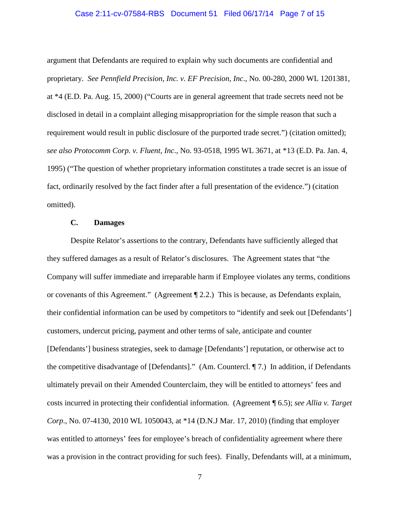#### Case 2:11-cv-07584-RBS Document 51 Filed 06/17/14 Page 7 of 15

argument that Defendants are required to explain why such documents are confidential and proprietary. *See Pennfield Precision, Inc. v. EF Precision, Inc*., No. 00-280, 2000 WL 1201381, at \*4 (E.D. Pa. Aug. 15, 2000) ("Courts are in general agreement that trade secrets need not be disclosed in detail in a complaint alleging misappropriation for the simple reason that such a requirement would result in public disclosure of the purported trade secret.") (citation omitted); *see also Protocomm Corp. v. Fluent, Inc*., No. 93-0518, 1995 WL 3671, at \*13 (E.D. Pa. Jan. 4, 1995) ("The question of whether proprietary information constitutes a trade secret is an issue of fact, ordinarily resolved by the fact finder after a full presentation of the evidence.") (citation omitted).

#### **C. Damages**

Despite Relator's assertions to the contrary, Defendants have sufficiently alleged that they suffered damages as a result of Relator's disclosures. The Agreement states that "the Company will suffer immediate and irreparable harm if Employee violates any terms, conditions or covenants of this Agreement." (Agreement ¶ 2.2.) This is because, as Defendants explain, their confidential information can be used by competitors to "identify and seek out [Defendants'] customers, undercut pricing, payment and other terms of sale, anticipate and counter [Defendants'] business strategies, seek to damage [Defendants'] reputation, or otherwise act to the competitive disadvantage of [Defendants]." (Am. Countercl. ¶ 7.) In addition, if Defendants ultimately prevail on their Amended Counterclaim, they will be entitled to attorneys' fees and costs incurred in protecting their confidential information. (Agreement ¶ 6.5); *see Allia v. Target Corp*., No. 07-4130, 2010 WL 1050043, at \*14 (D.N.J Mar. 17, 2010) (finding that employer was entitled to attorneys' fees for employee's breach of confidentiality agreement where there was a provision in the contract providing for such fees). Finally, Defendants will, at a minimum,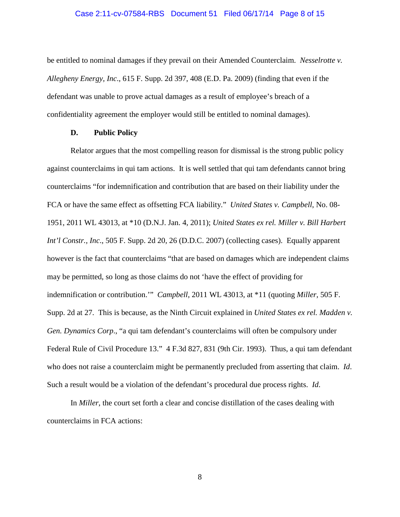#### Case 2:11-cv-07584-RBS Document 51 Filed 06/17/14 Page 8 of 15

be entitled to nominal damages if they prevail on their Amended Counterclaim. *Nesselrotte v. Allegheny Energy, Inc*., 615 F. Supp. 2d 397, 408 (E.D. Pa. 2009) (finding that even if the defendant was unable to prove actual damages as a result of employee's breach of a confidentiality agreement the employer would still be entitled to nominal damages).

#### **D. Public Policy**

Relator argues that the most compelling reason for dismissal is the strong public policy against counterclaims in qui tam actions. It is well settled that qui tam defendants cannot bring counterclaims "for indemnification and contribution that are based on their liability under the FCA or have the same effect as offsetting FCA liability." *United States v. Campbell*, No. 08- 1951, 2011 WL 43013, at \*10 (D.N.J. Jan. 4, 2011); *United States ex rel. Miller v. Bill Harbert Int'l Constr., Inc*., 505 F. Supp. 2d 20, 26 (D.D.C. 2007) (collecting cases). Equally apparent however is the fact that counterclaims "that are based on damages which are independent claims may be permitted, so long as those claims do not 'have the effect of providing for indemnification or contribution.'" *Campbell*, 2011 WL 43013, at \*11 (quoting *Miller*, 505 F. Supp. 2d at 27. This is because, as the Ninth Circuit explained in *United States ex rel. Madden v. Gen. Dynamics Corp*., "a qui tam defendant's counterclaims will often be compulsory under Federal Rule of Civil Procedure 13." 4 F.3d 827, 831 (9th Cir. 1993). Thus, a qui tam defendant who does not raise a counterclaim might be permanently precluded from asserting that claim. *Id*. Such a result would be a violation of the defendant's procedural due process rights. *Id*.

In *Miller*, the court set forth a clear and concise distillation of the cases dealing with counterclaims in FCA actions: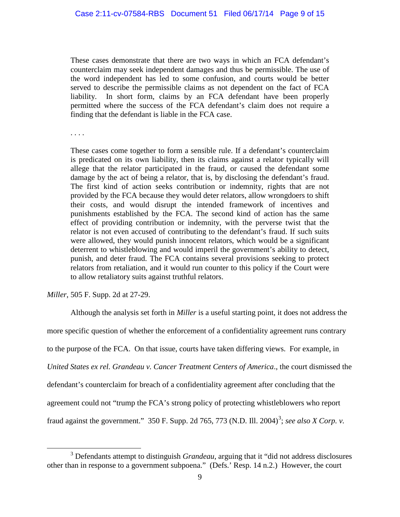These cases demonstrate that there are two ways in which an FCA defendant's counterclaim may seek independent damages and thus be permissible. The use of the word independent has led to some confusion, and courts would be better served to describe the permissible claims as not dependent on the fact of FCA liability. In short form, claims by an FCA defendant have been properly permitted where the success of the FCA defendant's claim does not require a finding that the defendant is liable in the FCA case.

. . . .

These cases come together to form a sensible rule. If a defendant's counterclaim is predicated on its own liability, then its claims against a relator typically will allege that the relator participated in the fraud, or caused the defendant some damage by the act of being a relator, that is, by disclosing the defendant's fraud. The first kind of action seeks contribution or indemnity, rights that are not provided by the FCA because they would deter relators, allow wrongdoers to shift their costs, and would disrupt the intended framework of incentives and punishments established by the FCA. The second kind of action has the same effect of providing contribution or indemnity, with the perverse twist that the relator is not even accused of contributing to the defendant's fraud. If such suits were allowed, they would punish innocent relators, which would be a significant deterrent to whistleblowing and would imperil the government's ability to detect, punish, and deter fraud. The FCA contains several provisions seeking to protect relators from retaliation, and it would run counter to this policy if the Court were to allow retaliatory suits against truthful relators.

*Miller*, 505 F. Supp. 2d at 27-29.

 $\overline{a}$ 

Although the analysis set forth in *Miller* is a useful starting point, it does not address the more specific question of whether the enforcement of a confidentiality agreement runs contrary to the purpose of the FCA. On that issue, courts have taken differing views. For example, in *United States ex rel. Grandeau v. Cancer Treatment Centers of America*., the court dismissed the defendant's counterclaim for breach of a confidentiality agreement after concluding that the agreement could not "trump the FCA's strong policy of protecting whistleblowers who report fraud against the government." 350 F. Supp. 2d 765, 773 (N.D. Ill. 2004)<sup>3</sup>; see also *X Corp. v.* 

<sup>3</sup> Defendants attempt to distinguish *Grandeau*, arguing that it "did not address disclosures other than in response to a government subpoena." (Defs.' Resp. 14 n.2.) However, the court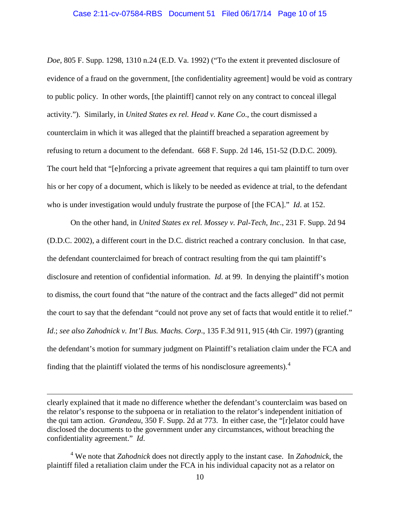#### Case 2:11-cv-07584-RBS Document 51 Filed 06/17/14 Page 10 of 15

*Doe*, 805 F. Supp. 1298, 1310 n.24 (E.D. Va. 1992) ("To the extent it prevented disclosure of evidence of a fraud on the government, [the confidentiality agreement] would be void as contrary to public policy. In other words, [the plaintiff] cannot rely on any contract to conceal illegal activity."). Similarly, in *United States ex rel. Head v. Kane Co*., the court dismissed a counterclaim in which it was alleged that the plaintiff breached a separation agreement by refusing to return a document to the defendant. 668 F. Supp. 2d 146, 151-52 (D.D.C. 2009). The court held that "[e]nforcing a private agreement that requires a qui tam plaintiff to turn over his or her copy of a document, which is likely to be needed as evidence at trial, to the defendant who is under investigation would unduly frustrate the purpose of [the FCA]." *Id*. at 152.

On the other hand, in *United States ex rel. Mossey v. Pal-Tech*, *Inc*., 231 F. Supp. 2d 94 (D.D.C. 2002), a different court in the D.C. district reached a contrary conclusion. In that case, the defendant counterclaimed for breach of contract resulting from the qui tam plaintiff's disclosure and retention of confidential information. *Id*. at 99. In denying the plaintiff's motion to dismiss, the court found that "the nature of the contract and the facts alleged" did not permit the court to say that the defendant "could not prove any set of facts that would entitle it to relief." *Id*.; *see also Zahodnick v. Int'l Bus. Machs. Corp*., 135 F.3d 911, 915 (4th Cir. 1997) (granting the defendant's motion for summary judgment on Plaintiff's retaliation claim under the FCA and finding that the plaintiff violated the terms of his nondisclosure agreements). $4$ 

clearly explained that it made no difference whether the defendant's counterclaim was based on the relator's response to the subpoena or in retaliation to the relator's independent initiation of the qui tam action. *Grandeau*, 350 F. Supp. 2d at 773. In either case, the "[r]elator could have disclosed the documents to the government under any circumstances, without breaching the confidentiality agreement." *Id*.

<sup>4</sup> We note that *Zahodnick* does not directly apply to the instant case. In *Zahodnick*, the plaintiff filed a retaliation claim under the FCA in his individual capacity not as a relator on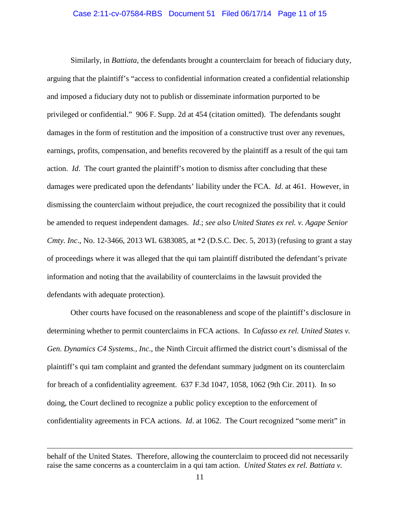#### Case 2:11-cv-07584-RBS Document 51 Filed 06/17/14 Page 11 of 15

Similarly, in *Battiata*, the defendants brought a counterclaim for breach of fiduciary duty, arguing that the plaintiff's "access to confidential information created a confidential relationship and imposed a fiduciary duty not to publish or disseminate information purported to be privileged or confidential." 906 F. Supp. 2d at 454 (citation omitted). The defendants sought damages in the form of restitution and the imposition of a constructive trust over any revenues, earnings, profits, compensation, and benefits recovered by the plaintiff as a result of the qui tam action. *Id*. The court granted the plaintiff's motion to dismiss after concluding that these damages were predicated upon the defendants' liability under the FCA. *Id*. at 461. However, in dismissing the counterclaim without prejudice, the court recognized the possibility that it could be amended to request independent damages. *Id*.; *see also United States ex rel. v. Agape Senior Cmty. Inc*., No. 12-3466, 2013 WL 6383085, at \*2 (D.S.C. Dec. 5, 2013) (refusing to grant a stay of proceedings where it was alleged that the qui tam plaintiff distributed the defendant's private information and noting that the availability of counterclaims in the lawsuit provided the defendants with adequate protection).

Other courts have focused on the reasonableness and scope of the plaintiff's disclosure in determining whether to permit counterclaims in FCA actions. In *Cafasso ex rel. United States v. Gen. Dynamics C4 Systems., Inc*., the Ninth Circuit affirmed the district court's dismissal of the plaintiff's qui tam complaint and granted the defendant summary judgment on its counterclaim for breach of a confidentiality agreement. 637 F.3d 1047, 1058, 1062 (9th Cir. 2011). In so doing, the Court declined to recognize a public policy exception to the enforcement of confidentiality agreements in FCA actions. *Id*. at 1062. The Court recognized "some merit" in

behalf of the United States. Therefore, allowing the counterclaim to proceed did not necessarily raise the same concerns as a counterclaim in a qui tam action. *United States ex rel. Battiata v.*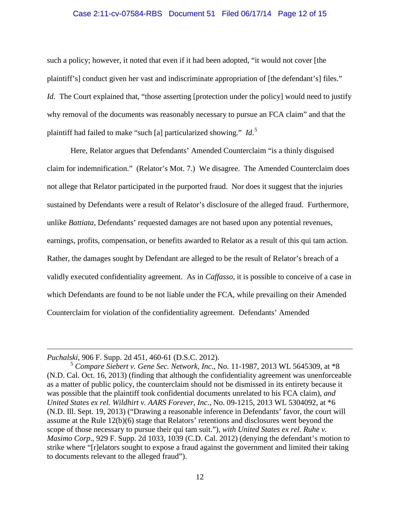#### Case 2:11-cv-07584-RBS Document 51 Filed 06/17/14 Page 12 of 15

such a policy; however, it noted that even if it had been adopted, "it would not cover [the plaintiff's] conduct given her vast and indiscriminate appropriation of [the defendant's] files." *Id.* The Court explained that, "those asserting [protection under the policy] would need to justify why removal of the documents was reasonably necessary to pursue an FCA claim" and that the plaintiff had failed to make "such [a] particularized showing." *Id*. 5

Here, Relator argues that Defendants' Amended Counterclaim "is a thinly disguised claim for indemnification." (Relator's Mot. 7.) We disagree. The Amended Counterclaim does not allege that Relator participated in the purported fraud. Nor does it suggest that the injuries sustained by Defendants were a result of Relator's disclosure of the alleged fraud. Furthermore, unlike *Battiata,* Defendants' requested damages are not based upon any potential revenues, earnings, profits, compensation, or benefits awarded to Relator as a result of this qui tam action. Rather, the damages sought by Defendant are alleged to be the result of Relator's breach of a validly executed confidentiality agreement. As in *Caffasso*, it is possible to conceive of a case in which Defendants are found to be not liable under the FCA, while prevailing on their Amended Counterclaim for violation of the confidentiality agreement. Defendants' Amended

*Puchalski*, 906 F. Supp. 2d 451, 460-61 (D.S.C. 2012). 5 *Compare Siebert v. Gene Sec. Network, Inc*., No. 11-1987, 2013 WL 5645309, at \*8 (N.D. Cal. Oct. 16, 2013) (finding that although the confidentiality agreement was unenforceable as a matter of public policy, the counterclaim should not be dismissed in its entirety because it was possible that the plaintiff took confidential documents unrelated to his FCA claim), *and United States ex rel. Wildhirt v. AARS Forever, Inc*., No. 09-1215, 2013 WL 5304092, at \*6 (N.D. Ill. Sept. 19, 2013) ("Drawing a reasonable inference in Defendants' favor, the court will assume at the Rule 12(b)(6) stage that Relators' retentions and disclosures went beyond the scope of those necessary to pursue their qui tam suit."), *with United States ex rel. Ruhe v. Masimo Corp*., 929 F. Supp. 2d 1033, 1039 (C.D. Cal. 2012) (denying the defendant's motion to strike where "[r]elators sought to expose a fraud against the government and limited their taking to documents relevant to the alleged fraud").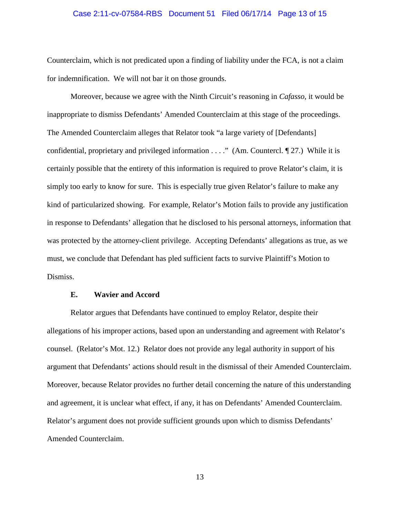#### Case 2:11-cv-07584-RBS Document 51 Filed 06/17/14 Page 13 of 15

Counterclaim, which is not predicated upon a finding of liability under the FCA, is not a claim for indemnification. We will not bar it on those grounds.

Moreover, because we agree with the Ninth Circuit's reasoning in *Cafasso*, it would be inappropriate to dismiss Defendants' Amended Counterclaim at this stage of the proceedings. The Amended Counterclaim alleges that Relator took "a large variety of [Defendants] confidential, proprietary and privileged information . . . ." (Am. Countercl. ¶ 27.) While it is certainly possible that the entirety of this information is required to prove Relator's claim, it is simply too early to know for sure. This is especially true given Relator's failure to make any kind of particularized showing. For example, Relator's Motion fails to provide any justification in response to Defendants' allegation that he disclosed to his personal attorneys, information that was protected by the attorney-client privilege. Accepting Defendants' allegations as true, as we must, we conclude that Defendant has pled sufficient facts to survive Plaintiff's Motion to Dismiss.

### **E. Wavier and Accord**

Relator argues that Defendants have continued to employ Relator, despite their allegations of his improper actions, based upon an understanding and agreement with Relator's counsel. (Relator's Mot. 12.) Relator does not provide any legal authority in support of his argument that Defendants' actions should result in the dismissal of their Amended Counterclaim. Moreover, because Relator provides no further detail concerning the nature of this understanding and agreement, it is unclear what effect, if any, it has on Defendants' Amended Counterclaim. Relator's argument does not provide sufficient grounds upon which to dismiss Defendants' Amended Counterclaim.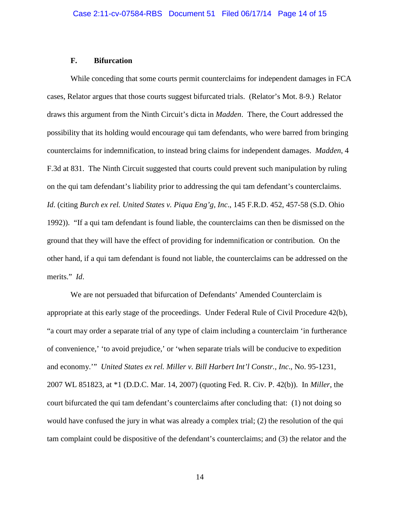#### **F. Bifurcation**

While conceding that some courts permit counterclaims for independent damages in FCA cases, Relator argues that those courts suggest bifurcated trials. (Relator's Mot. 8-9.) Relator draws this argument from the Ninth Circuit's dicta in *Madden*. There, the Court addressed the possibility that its holding would encourage qui tam defendants, who were barred from bringing counterclaims for indemnification, to instead bring claims for independent damages. *Madden*, 4 F.3d at 831. The Ninth Circuit suggested that courts could prevent such manipulation by ruling on the qui tam defendant's liability prior to addressing the qui tam defendant's counterclaims. *Id*. (citing *Burch ex rel. United States v. Piqua Eng'g, Inc*., 145 F.R.D. 452, 457-58 (S.D. Ohio 1992)). "If a qui tam defendant is found liable, the counterclaims can then be dismissed on the ground that they will have the effect of providing for indemnification or contribution. On the other hand, if a qui tam defendant is found not liable, the counterclaims can be addressed on the merits." *Id*.

We are not persuaded that bifurcation of Defendants' Amended Counterclaim is appropriate at this early stage of the proceedings. Under Federal Rule of Civil Procedure 42(b), "a court may order a separate trial of any type of claim including a counterclaim 'in furtherance of convenience,' 'to avoid prejudice,' or 'when separate trials will be conducive to expedition and economy.'" *United States ex rel. Miller v. Bill Harbert Int'l Constr., Inc*., No. 95-1231, 2007 WL 851823, at \*1 (D.D.C. Mar. 14, 2007) (quoting Fed. R. Civ. P. 42(b)). In *Miller*, the court bifurcated the qui tam defendant's counterclaims after concluding that: (1) not doing so would have confused the jury in what was already a complex trial; (2) the resolution of the qui tam complaint could be dispositive of the defendant's counterclaims; and (3) the relator and the